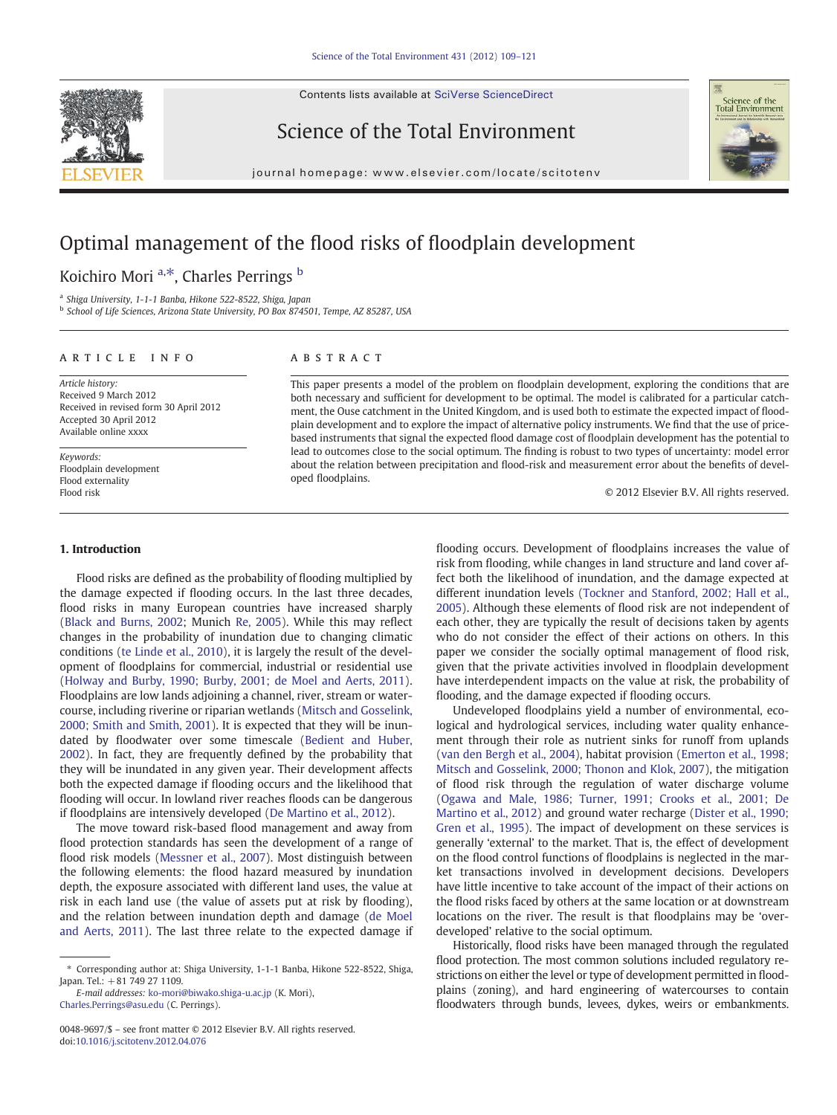Contents lists available at [SciVerse ScienceDirect](http://www.sciencedirect.com/science/journal/00489697)



Science of the Total Environment



journal homepage: www.elsevier.com/locate/scitotenv

# Optimal management of the flood risks of floodplain development

Koichiro Mori <sup>[a](#page-0-0),\*</sup>, Charles Perrings <sup>[b](#page-0-0)</sup>

<sup>a</sup> Shiga University, 1-1-1 Banba, Hikone 522-8522, Shiga, Japan

<sup>b</sup> School of Life Sciences, Arizona State University, PO Box 874501, Tempe, AZ 85287, USA

# article info abstract

Article history: Received 9 March 2012 Received in revised form 30 April 2012 Accepted 30 April 2012 Available online xxxx

Keywords: Floodplain development Flood externality Flood risk

This paper presents a model of the problem on floodplain development, exploring the conditions that are both necessary and sufficient for development to be optimal. The model is calibrated for a particular catchment, the Ouse catchment in the United Kingdom, and is used both to estimate the expected impact of floodplain development and to explore the impact of alternative policy instruments. We find that the use of pricebased instruments that signal the expected flood damage cost of floodplain development has the potential to lead to outcomes close to the social optimum. The finding is robust to two types of uncertainty: model error about the relation between precipitation and flood-risk and measurement error about the benefits of developed floodplains.

© 2012 Elsevier B.V. All rights reserved.

# 1. Introduction

Flood risks are defined as the probability of flooding multiplied by the damage expected if flooding occurs. In the last three decades, flood risks in many European countries have increased sharply [\(Black and Burns, 2002](#page-11-0); Munich [Re, 2005](#page-11-0)). While this may reflect changes in the probability of inundation due to changing climatic conditions ([te Linde et al., 2010\)](#page-12-0), it is largely the result of the development of floodplains for commercial, industrial or residential use [\(Holway and Burby, 1990; Burby, 2001; de Moel and Aerts, 2011](#page-11-0)). Floodplains are low lands adjoining a channel, river, stream or watercourse, including riverine or riparian wetlands ([Mitsch and Gosselink,](#page-11-0) [2000; Smith and Smith, 2001](#page-11-0)). It is expected that they will be inundated by floodwater over some timescale [\(Bedient and Huber,](#page-11-0) [2002\)](#page-11-0). In fact, they are frequently defined by the probability that they will be inundated in any given year. Their development affects both the expected damage if flooding occurs and the likelihood that flooding will occur. In lowland river reaches floods can be dangerous if floodplains are intensively developed [\(De Martino et al., 2012\)](#page-11-0).

The move toward risk-based flood management and away from flood protection standards has seen the development of a range of flood risk models ([Messner et al., 2007](#page-11-0)). Most distinguish between the following elements: the flood hazard measured by inundation depth, the exposure associated with different land uses, the value at risk in each land use (the value of assets put at risk by flooding), and the relation between inundation depth and damage ([de Moel](#page-11-0) [and Aerts, 2011\)](#page-11-0). The last three relate to the expected damage if flooding occurs. Development of floodplains increases the value of risk from flooding, while changes in land structure and land cover affect both the likelihood of inundation, and the damage expected at different inundation levels [\(Tockner and Stanford, 2002; Hall et al.,](#page-12-0) [2005\)](#page-12-0). Although these elements of flood risk are not independent of each other, they are typically the result of decisions taken by agents who do not consider the effect of their actions on others. In this paper we consider the socially optimal management of flood risk, given that the private activities involved in floodplain development have interdependent impacts on the value at risk, the probability of flooding, and the damage expected if flooding occurs.

Undeveloped floodplains yield a number of environmental, ecological and hydrological services, including water quality enhancement through their role as nutrient sinks for runoff from uplands [\(van den Bergh et al., 2004](#page-12-0)), habitat provision [\(Emerton et al., 1998;](#page-11-0) [Mitsch and Gosselink, 2000; Thonon and Klok, 2007\)](#page-11-0), the mitigation of flood risk through the regulation of water discharge volume [\(Ogawa and Male, 1986; Turner, 1991; Crooks et al., 2001; De](#page-11-0) [Martino et al., 2012](#page-11-0)) and ground water recharge [\(Dister et al., 1990;](#page-11-0) [Gren et al., 1995](#page-11-0)). The impact of development on these services is generally 'external' to the market. That is, the effect of development on the flood control functions of floodplains is neglected in the market transactions involved in development decisions. Developers have little incentive to take account of the impact of their actions on the flood risks faced by others at the same location or at downstream locations on the river. The result is that floodplains may be 'overdeveloped' relative to the social optimum.

Historically, flood risks have been managed through the regulated flood protection. The most common solutions included regulatory restrictions on either the level or type of development permitted in floodplains (zoning), and hard engineering of watercourses to contain floodwaters through bunds, levees, dykes, weirs or embankments.

<sup>⁎</sup> Corresponding author at: Shiga University, 1-1-1 Banba, Hikone 522-8522, Shiga, Japan. Tel.: +81 749 27 1109.

E-mail addresses: [ko-mori@biwako.shiga-u.ac.jp](mailto:ko-mori@biwako.shiga-u.ac.jp) (K. Mori), [Charles.Perrings@asu.edu](mailto:Charles.Perrings@asu.edu) (C. Perrings).

<span id="page-0-0"></span><sup>0048-9697/\$</sup> – see front matter © 2012 Elsevier B.V. All rights reserved. doi:[10.1016/j.scitotenv.2012.04.076](http://dx.doi.org/10.1016/j.scitotenv.2012.04.076)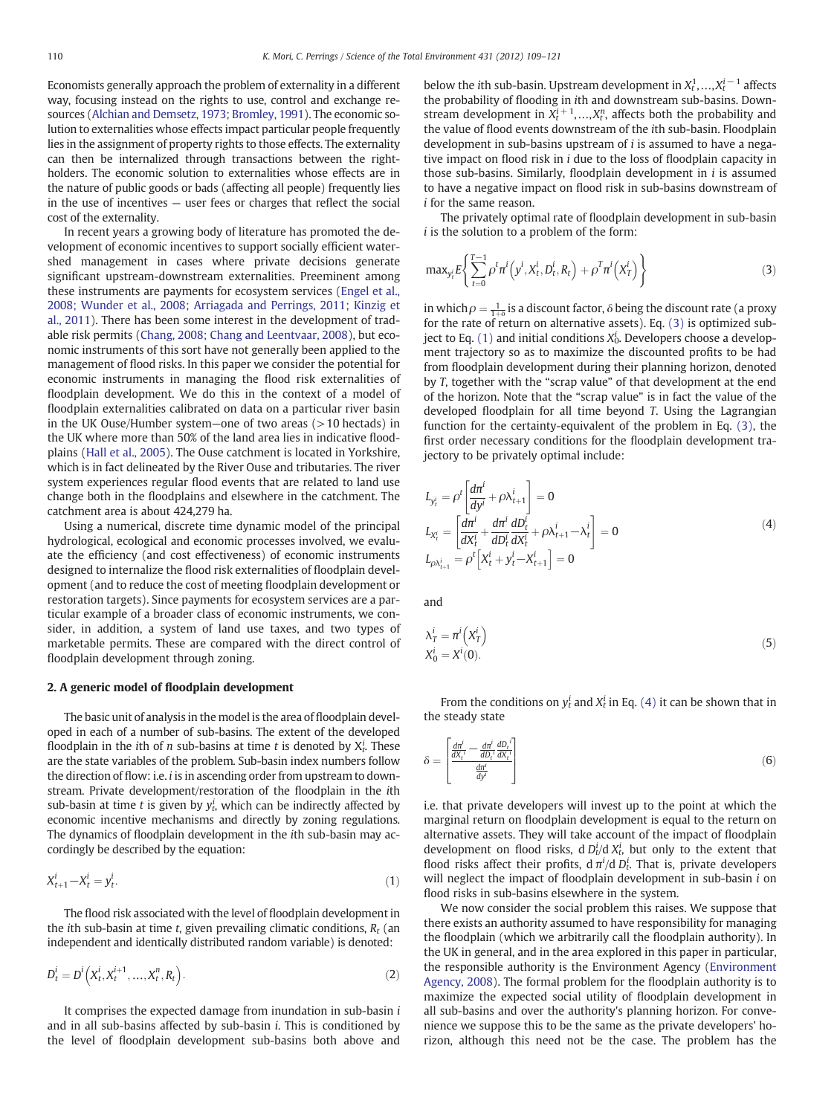Economists generally approach the problem of externality in a different way, focusing instead on the rights to use, control and exchange resources [\(Alchian and Demsetz, 1973; Bromley, 1991](#page-11-0)). The economic solution to externalities whose effects impact particular people frequently lies in the assignment of property rights to those effects. The externality can then be internalized through transactions between the rightholders. The economic solution to externalities whose effects are in the nature of public goods or bads (affecting all people) frequently lies in the use of incentives — user fees or charges that reflect the social cost of the externality.

In recent years a growing body of literature has promoted the development of economic incentives to support socially efficient watershed management in cases where private decisions generate significant upstream-downstream externalities. Preeminent among these instruments are payments for ecosystem services ([Engel et al.,](#page-11-0) [2008; Wunder et al., 2008; Arriagada and Perrings, 2011; Kinzig et](#page-11-0) [al., 2011](#page-11-0)). There has been some interest in the development of tradable risk permits [\(Chang, 2008; Chang and Leentvaar, 2008\)](#page-11-0), but economic instruments of this sort have not generally been applied to the management of flood risks. In this paper we consider the potential for economic instruments in managing the flood risk externalities of floodplain development. We do this in the context of a model of floodplain externalities calibrated on data on a particular river basin in the UK Ouse/Humber system—one of two areas  $(>10$  hectads) in the UK where more than 50% of the land area lies in indicative floodplains [\(Hall et al., 2005\)](#page-11-0). The Ouse catchment is located in Yorkshire, which is in fact delineated by the River Ouse and tributaries. The river system experiences regular flood events that are related to land use change both in the floodplains and elsewhere in the catchment. The catchment area is about 424,279 ha.

Using a numerical, discrete time dynamic model of the principal hydrological, ecological and economic processes involved, we evaluate the efficiency (and cost effectiveness) of economic instruments designed to internalize the flood risk externalities of floodplain development (and to reduce the cost of meeting floodplain development or restoration targets). Since payments for ecosystem services are a particular example of a broader class of economic instruments, we consider, in addition, a system of land use taxes, and two types of marketable permits. These are compared with the direct control of floodplain development through zoning.

# 2. A generic model of floodplain development

The basic unit of analysis in the model is the area of floodplain developed in each of a number of sub-basins. The extent of the developed floodplain in the *i*th of *n* sub-basins at time *t* is denoted by  $X_t^i$ . These are the state variables of the problem. Sub-basin index numbers follow the direction of flow: i.e. i is in ascending order from upstream to downstream. Private development/restoration of the floodplain in the ith sub-basin at time t is given by  $y_t^i$ , which can be indirectly affected by economic incentive mechanisms and directly by zoning regulations. The dynamics of floodplain development in the ith sub-basin may accordingly be described by the equation:

$$
X_{t+1}^i - X_t^i = y_t^i.
$$
 (1)

The flood risk associated with the level of floodplain development in the ith sub-basin at time t, given prevailing climatic conditions,  $R_t$  (an independent and identically distributed random variable) is denoted:

$$
D_t^i = D^i(X_t^i, X_t^{i+1}, \dots, X_t^n, R_t).
$$
\n(2)

<span id="page-1-0"></span>It comprises the expected damage from inundation in sub-basin i and in all sub-basins affected by sub-basin i. This is conditioned by the level of floodplain development sub-basins both above and below the *i*th sub-basin. Upstream development in  $X_t^1, ..., X_t^{i-1}$  affects the probability of flooding in ith and downstream sub-basins. Downstream development in  $X_t^{i+1},...,X_t^n$ , affects both the probability and the value of flood events downstream of the ith sub-basin. Floodplain development in sub-basins upstream of i is assumed to have a negative impact on flood risk in i due to the loss of floodplain capacity in those sub-basins. Similarly, floodplain development in  $i$  is assumed to have a negative impact on flood risk in sub-basins downstream of i for the same reason.

The privately optimal rate of floodplain development in sub-basin i is the solution to a problem of the form:

$$
\max_{y_t^i} E\left\{ \sum_{t=0}^{T-1} \rho^t \pi^i \left( y^i, X_t^i, D_t^i, R_t \right) + \rho^T \pi^i \left( X_T^i \right) \right\} \tag{3}
$$

in which  $\rho = \frac{1}{1+\delta}$  is a discount factor,  $\delta$  being the discount rate (a proxy for the rate of return on alternative assets). Eq. [\(3\)](#page-1-0) is optimized subject to Eq.  $(1)$  and initial conditions  $X_0^i$ . Developers choose a development trajectory so as to maximize the discounted profits to be had from floodplain development during their planning horizon, denoted by T, together with the "scrap value" of that development at the end of the horizon. Note that the "scrap value" is in fact the value of the developed floodplain for all time beyond T. Using the Lagrangian function for the certainty-equivalent of the problem in Eq. [\(3\),](#page-1-0) the first order necessary conditions for the floodplain development trajectory to be privately optimal include:

$$
L_{y_t^i} = \rho^t \left[ \frac{d\pi^i}{dy^i} + \rho \lambda_{t+1}^i \right] = 0
$$
  
\n
$$
L_{x_t^i} = \left[ \frac{d\pi^i}{dX_t^i} + \frac{d\pi^i}{dD_t^i} \frac{dD_t^i}{dX_t^i} + \rho \lambda_{t+1}^i - \lambda_t^i \right] = 0
$$
  
\n
$$
L_{\rho \lambda_{t+1}^i} = \rho^t \left[ X_t^i + y_t^i - X_{t+1}^i \right] = 0
$$
\n(4)

and

$$
\lambda_T^i = \pi^i \left( X_T^i \right) \n X_0^i = X^i(0).
$$
\n<sup>(5)</sup>

From the conditions on  $y_t^i$  and  $X_t^i$  in Eq. [\(4\)](#page-1-0) it can be shown that in the steady state

$$
\delta = \begin{bmatrix} \frac{d\pi^i}{dX_t^i} - \frac{d\pi^i}{dD_t^i} \frac{dD_t^i}{dX_t^i} \\ \frac{d\pi^i}{dy^i} \end{bmatrix} \tag{6}
$$

i.e. that private developers will invest up to the point at which the marginal return on floodplain development is equal to the return on alternative assets. They will take account of the impact of floodplain development on flood risks, d  $D_t^i/d X_t^i$ , but only to the extent that flood risks affect their profits, d  $\pi^{i}/d D_{t}^{i}$ . That is, private developers will neglect the impact of floodplain development in sub-basin *i* on flood risks in sub-basins elsewhere in the system.

We now consider the social problem this raises. We suppose that there exists an authority assumed to have responsibility for managing the floodplain (which we arbitrarily call the floodplain authority). In the UK in general, and in the area explored in this paper in particular, the responsible authority is the Environment Agency [\(Environment](#page-11-0) [Agency, 2008\)](#page-11-0). The formal problem for the floodplain authority is to maximize the expected social utility of floodplain development in all sub-basins and over the authority's planning horizon. For convenience we suppose this to be the same as the private developers' horizon, although this need not be the case. The problem has the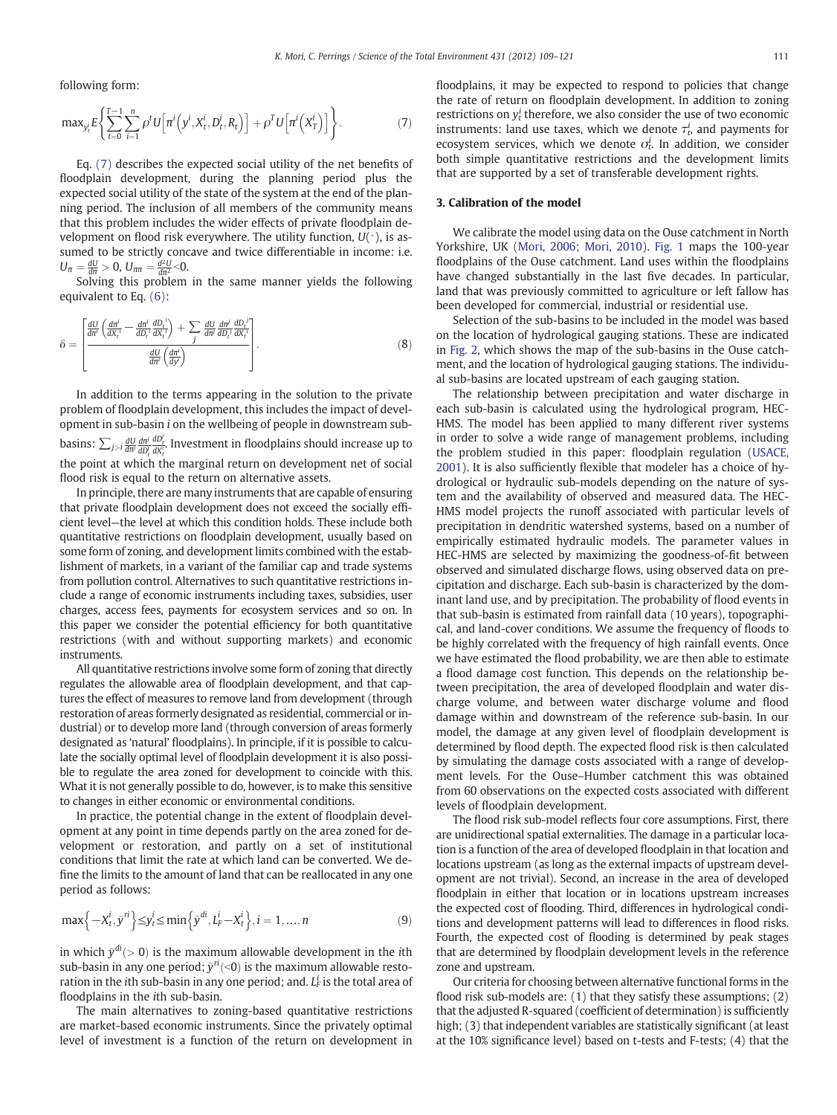following form:

$$
\max_{y_t^i} E\left\{ \sum_{t=0}^{T-1} \sum_{i=1}^n \rho^t U\left[\pi^i \left(y^i, X_t^i, D_t^i, R_t\right)\right] + \rho^T U\left[\pi^i \left(X_T^i\right)\right] \right\}.
$$
 (7)

Eq. [\(7\)](#page-2-0) describes the expected social utility of the net benefits of floodplain development, during the planning period plus the expected social utility of the state of the system at the end of the planning period. The inclusion of all members of the community means that this problem includes the wider effects of private floodplain development on flood risk everywhere. The utility function,  $U(·)$ , is assumed to be strictly concave and twice differentiable in income: i.e.  $U_{\pi} = \frac{dU}{d\pi} > 0$ ,  $U_{\pi\pi} = \frac{d^2U}{d\pi^2} < 0$ .

Solving this problem in the same manner yields the following equivalent to Eq. [\(6\):](#page-1-0)

$$
\delta = \left[\frac{\frac{dU}{d\pi^i} \left(\frac{d\pi^i}{dX_t^i} - \frac{d\pi^i}{dD_t^i} \frac{dD_t^i}{dX_t^i}\right) + \sum_j \frac{dU}{d\pi^j} \frac{d\pi^j}{dD_t^j} \frac{dD_t^j}{dX_t^i}}{\frac{dU}{d\pi^i} \left(\frac{d\pi^i}{dy^i}\right)}\right].
$$
\n(8)

In addition to the terms appearing in the solution to the private problem of floodplain development, this includes the impact of development in sub-basin i on the wellbeing of people in downstream subbasins:  $\sum_{j>i}\frac{dU}{d\pi^j}\frac{d\pi^j}{dD^j_i}$  $\frac{dD_t^j}{dX_t^j}$ . Investment in floodplains should increase up to the point at which the marginal return on development net of social flood risk is equal to the return on alternative assets.

In principle, there are many instruments that are capable of ensuring that private floodplain development does not exceed the socially efficient level—the level at which this condition holds. These include both quantitative restrictions on floodplain development, usually based on some form of zoning, and development limits combined with the establishment of markets, in a variant of the familiar cap and trade systems from pollution control. Alternatives to such quantitative restrictions include a range of economic instruments including taxes, subsidies, user charges, access fees, payments for ecosystem services and so on. In this paper we consider the potential efficiency for both quantitative restrictions (with and without supporting markets) and economic instruments.

All quantitative restrictions involve some form of zoning that directly regulates the allowable area of floodplain development, and that captures the effect of measures to remove land from development (through restoration of areas formerly designated as residential, commercial or industrial) or to develop more land (through conversion of areas formerly designated as 'natural' floodplains). In principle, if it is possible to calculate the socially optimal level of floodplain development it is also possible to regulate the area zoned for development to coincide with this. What it is not generally possible to do, however, is to make this sensitive to changes in either economic or environmental conditions.

In practice, the potential change in the extent of floodplain development at any point in time depends partly on the area zoned for development or restoration, and partly on a set of institutional conditions that limit the rate at which land can be converted. We define the limits to the amount of land that can be reallocated in any one period as follows:

$$
\max\left\{-X_t^i, \bar{y}^{ri}\right\} \leq y_t^i \leq \min\left\{\bar{y}^{di}, L_r^i - X_t^i\right\}, i = 1, ..., n
$$
\n(9)

in which  $\bar{v}^{di}$  (> 0) is the maximum allowable development in the *i*th sub-basin in any one period;  $\bar{y}^{\text{ri}}$   $\ll$  b) is the maximum allowable restoration in the *i*th sub-basin in any one period; and.  $L_F^i$  is the total area of floodplains in the ith sub-basin.

<span id="page-2-0"></span>The main alternatives to zoning-based quantitative restrictions are market-based economic instruments. Since the privately optimal level of investment is a function of the return on development in floodplains, it may be expected to respond to policies that change the rate of return on floodplain development. In addition to zoning restrictions on  $y_t^i$  therefore, we also consider the use of two economic instruments: land use taxes, which we denote  $\tau_b^i$ , and payments for ecosystem services, which we denote  $\sigma_t^i$ . In addition, we consider both simple quantitative restrictions and the development limits that are supported by a set of transferable development rights.

# 3. Calibration of the model

We calibrate the model using data on the Ouse catchment in North Yorkshire, UK ([Mori, 2006; Mori, 2010](#page-11-0)). [Fig. 1](#page-3-0) maps the 100-year floodplains of the Ouse catchment. Land uses within the floodplains have changed substantially in the last five decades. In particular, land that was previously committed to agriculture or left fallow has been developed for commercial, industrial or residential use.

Selection of the sub-basins to be included in the model was based on the location of hydrological gauging stations. These are indicated in [Fig. 2,](#page-3-0) which shows the map of the sub-basins in the Ouse catchment, and the location of hydrological gauging stations. The individual sub-basins are located upstream of each gauging station.

The relationship between precipitation and water discharge in each sub-basin is calculated using the hydrological program, HEC-HMS. The model has been applied to many different river systems in order to solve a wide range of management problems, including the problem studied in this paper: floodplain regulation ([USACE,](#page-12-0) [2001\)](#page-12-0). It is also sufficiently flexible that modeler has a choice of hydrological or hydraulic sub-models depending on the nature of system and the availability of observed and measured data. The HEC-HMS model projects the runoff associated with particular levels of precipitation in dendritic watershed systems, based on a number of empirically estimated hydraulic models. The parameter values in HEC-HMS are selected by maximizing the goodness-of-fit between observed and simulated discharge flows, using observed data on precipitation and discharge. Each sub-basin is characterized by the dominant land use, and by precipitation. The probability of flood events in that sub-basin is estimated from rainfall data (10 years), topographical, and land-cover conditions. We assume the frequency of floods to be highly correlated with the frequency of high rainfall events. Once we have estimated the flood probability, we are then able to estimate a flood damage cost function. This depends on the relationship between precipitation, the area of developed floodplain and water discharge volume, and between water discharge volume and flood damage within and downstream of the reference sub-basin. In our model, the damage at any given level of floodplain development is determined by flood depth. The expected flood risk is then calculated by simulating the damage costs associated with a range of development levels. For the Ouse–Humber catchment this was obtained from 60 observations on the expected costs associated with different levels of floodplain development.

The flood risk sub-model reflects four core assumptions. First, there are unidirectional spatial externalities. The damage in a particular location is a function of the area of developed floodplain in that location and locations upstream (as long as the external impacts of upstream development are not trivial). Second, an increase in the area of developed floodplain in either that location or in locations upstream increases the expected cost of flooding. Third, differences in hydrological conditions and development patterns will lead to differences in flood risks. Fourth, the expected cost of flooding is determined by peak stages that are determined by floodplain development levels in the reference zone and upstream.

Our criteria for choosing between alternative functional forms in the flood risk sub-models are: (1) that they satisfy these assumptions; (2) that the adjusted R-squared (coefficient of determination) is sufficiently high; (3) that independent variables are statistically significant (at least at the 10% significance level) based on t-tests and F-tests; (4) that the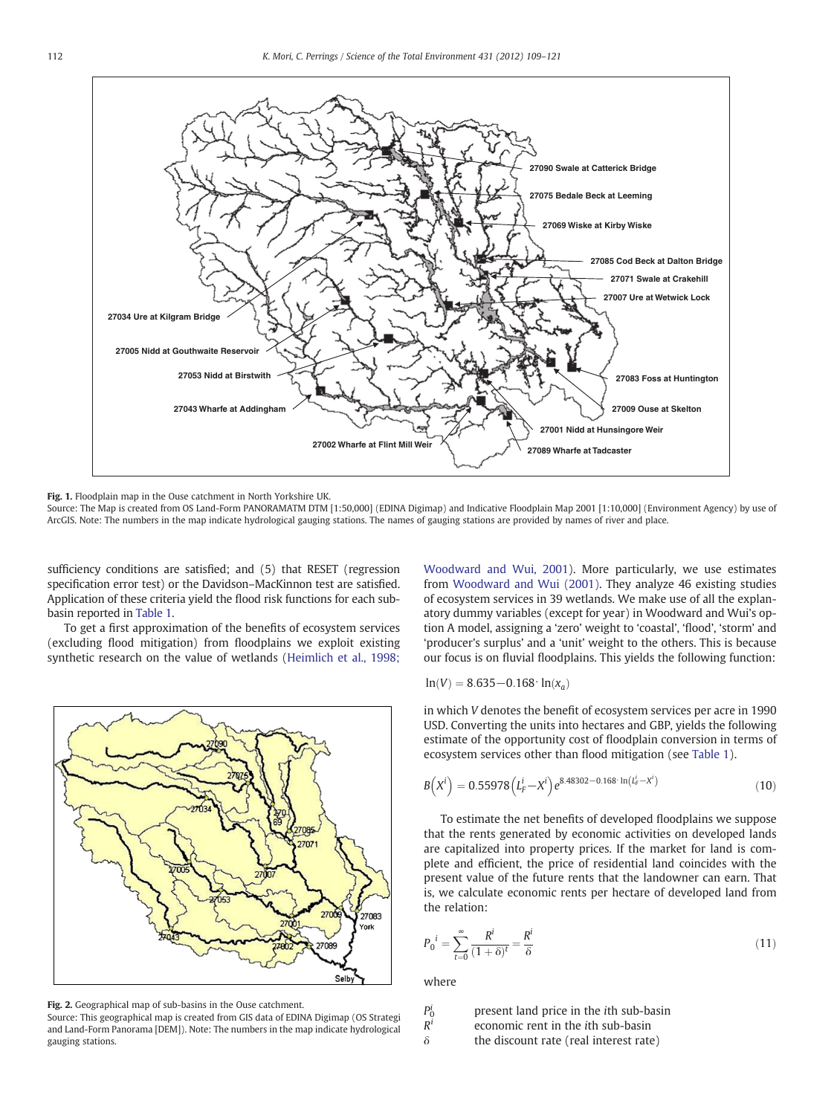

Fig. 1. Floodplain map in the Ouse catchment in North Yorkshire UK.

Source: The Map is created from OS Land-Form PANORAMATM DTM [1:50,000] (EDINA Digimap) and Indicative Floodplain Map 2001 [1:10,000] (Environment Agency) by use of ArcGIS. Note: The numbers in the map indicate hydrological gauging stations. The names of gauging stations are provided by names of river and place.

sufficiency conditions are satisfied; and (5) that RESET (regression specification error test) or the Davidson–MacKinnon test are satisfied. Application of these criteria yield the flood risk functions for each subbasin reported in [Table 1](#page-4-0).

To get a first approximation of the benefits of ecosystem services (excluding flood mitigation) from floodplains we exploit existing synthetic research on the value of wetlands [\(Heimlich et al., 1998;](#page-11-0)



Fig. 2. Geographical map of sub-basins in the Ouse catchment.

<span id="page-3-0"></span>Source: This geographical map is created from GIS data of EDINA Digimap (OS Strategi and Land-Form Panorama [DEM]). Note: The numbers in the map indicate hydrological gauging stations.

[Woodward and Wui, 2001\)](#page-11-0). More particularly, we use estimates from [Woodward and Wui \(2001\).](#page-12-0) They analyze 46 existing studies of ecosystem services in 39 wetlands. We make use of all the explanatory dummy variables (except for year) in Woodward and Wui's option A model, assigning a 'zero' weight to 'coastal', 'flood', 'storm' and 'producer's surplus' and a 'unit' weight to the others. This is because our focus is on fluvial floodplains. This yields the following function:

$$
\ln(V) = 8.635 - 0.168 \cdot \ln(x_a)
$$

in which V denotes the benefit of ecosystem services per acre in 1990 USD. Converting the units into hectares and GBP, yields the following estimate of the opportunity cost of floodplain conversion in terms of ecosystem services other than flood mitigation (see [Table 1](#page-4-0)).

$$
B(X^{i}) = 0.55978(L_{F}^{i} - X^{i})e^{8.48302 - 0.168 \cdot \ln(L_{F}^{i} - X^{i})}
$$
\n(10)

To estimate the net benefits of developed floodplains we suppose that the rents generated by economic activities on developed lands are capitalized into property prices. If the market for land is complete and efficient, the price of residential land coincides with the present value of the future rents that the landowner can earn. That is, we calculate economic rents per hectare of developed land from the relation:

$$
P_0^i = \sum_{t=0}^{\infty} \frac{R^i}{(1+\delta)^t} = \frac{R^i}{\delta} \tag{11}
$$

where

present land price in the *i*th sub-basin

 $P^i_0$ <br> $R^i$ economic rent in the *i*th sub-basin

 $\delta$  the discount rate (real interest rate)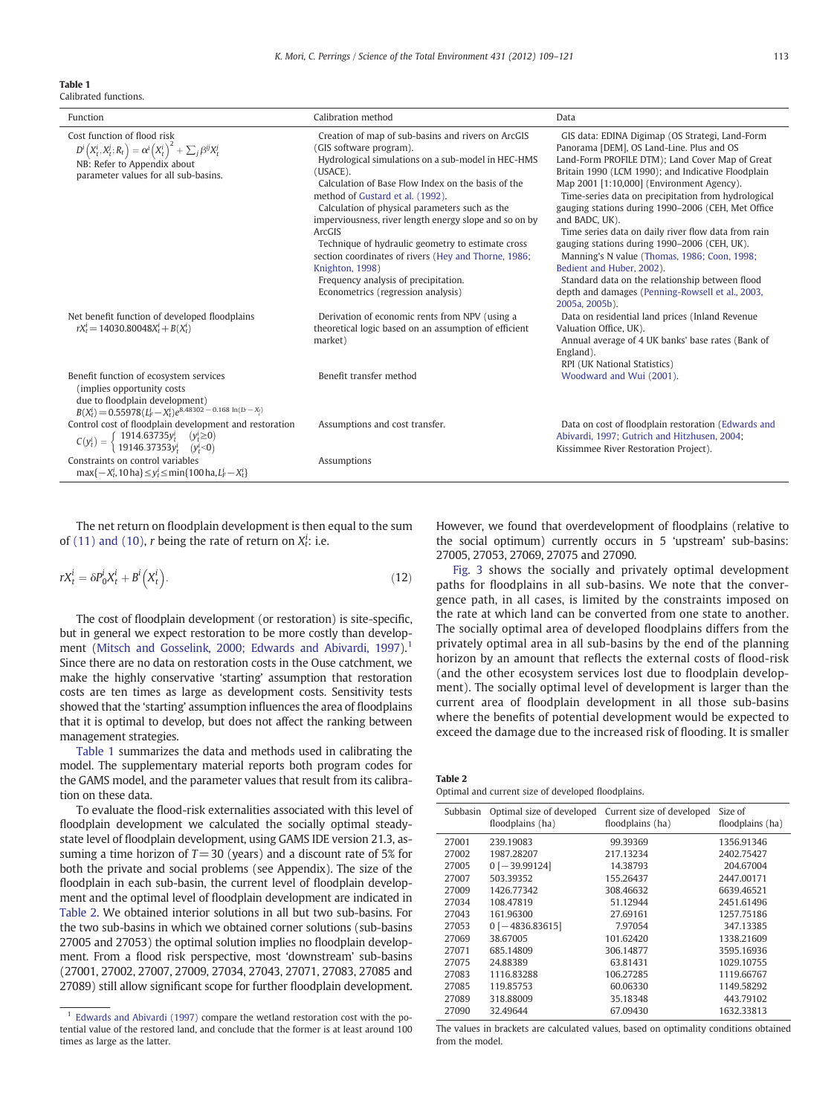Table 1

Calibrated functions.

| Function                                                                                                                                                                           | Calibration method                                                                                                                                                                                                                                                                                                                                                                                                                                                                                                                                                                   | Data                                                                                                                                                                                                                                                                                                                                                                                                                                                                                                                                                                                                                                                                                           |
|------------------------------------------------------------------------------------------------------------------------------------------------------------------------------------|--------------------------------------------------------------------------------------------------------------------------------------------------------------------------------------------------------------------------------------------------------------------------------------------------------------------------------------------------------------------------------------------------------------------------------------------------------------------------------------------------------------------------------------------------------------------------------------|------------------------------------------------------------------------------------------------------------------------------------------------------------------------------------------------------------------------------------------------------------------------------------------------------------------------------------------------------------------------------------------------------------------------------------------------------------------------------------------------------------------------------------------------------------------------------------------------------------------------------------------------------------------------------------------------|
| Cost function of flood risk<br>$D^i(X_t^i, X_t^j; R_t) = \alpha^i(X_t^i)^2 + \sum_j \beta^{ij} X_t^j$<br>NB: Refer to Appendix about<br>parameter values for all sub-basins.       | Creation of map of sub-basins and rivers on ArcGIS<br>(GIS software program).<br>Hydrological simulations on a sub-model in HEC-HMS<br>(USACE).<br>Calculation of Base Flow Index on the basis of the<br>method of Gustard et al. (1992).<br>Calculation of physical parameters such as the<br>imperviousness, river length energy slope and so on by<br><b>ArcGIS</b><br>Technique of hydraulic geometry to estimate cross<br>section coordinates of rivers (Hey and Thorne, 1986;<br>Knighton, 1998)<br>Frequency analysis of precipitation.<br>Econometrics (regression analysis) | GIS data: EDINA Digimap (OS Strategi, Land-Form<br>Panorama [DEM], OS Land-Line. Plus and OS<br>Land-Form PROFILE DTM); Land Cover Map of Great<br>Britain 1990 (LCM 1990); and Indicative Floodplain<br>Map 2001 [1:10,000] (Environment Agency).<br>Time-series data on precipitation from hydrological<br>gauging stations during 1990-2006 (CEH, Met Office<br>and BADC, UK).<br>Time series data on daily river flow data from rain<br>gauging stations during 1990–2006 (CEH, UK).<br>Manning's N value (Thomas, 1986; Coon, 1998;<br>Bedient and Huber, 2002).<br>Standard data on the relationship between flood<br>depth and damages (Penning-Rowsell et al., 2003,<br>2005a, 2005b). |
| Net benefit function of developed floodplains<br>$rX_t^i = 14030.80048X_t^i + B(X_t^i)$                                                                                            | Derivation of economic rents from NPV (using a<br>theoretical logic based on an assumption of efficient<br>market)                                                                                                                                                                                                                                                                                                                                                                                                                                                                   | Data on residential land prices (Inland Revenue<br>Valuation Office, UK).<br>Annual average of 4 UK banks' base rates (Bank of<br>England).<br>RPI (UK National Statistics)                                                                                                                                                                                                                                                                                                                                                                                                                                                                                                                    |
| Benefit function of ecosystem services<br>(implies opportunity costs)<br>due to floodplain development)<br>$B(X_t^i) = 0.55978(L_F^i - X_t^i)e^{8.48302} - 0.168 \ln(L_F - X_t^i)$ | Benefit transfer method                                                                                                                                                                                                                                                                                                                                                                                                                                                                                                                                                              | Woodward and Wui (2001).                                                                                                                                                                                                                                                                                                                                                                                                                                                                                                                                                                                                                                                                       |
| Control cost of floodplain development and restoration<br>$C(y_t^i) = \begin{cases} 1914.63735y_t^i & (y_t^i \ge 0) \\ 19146.37353y_t^i & (y_t^i < 0) \end{cases}$                 | Assumptions and cost transfer.                                                                                                                                                                                                                                                                                                                                                                                                                                                                                                                                                       | Data on cost of floodplain restoration (Edwards and<br>Abivardi, 1997; Gutrich and Hitzhusen, 2004;<br>Kissimmee River Restoration Project).                                                                                                                                                                                                                                                                                                                                                                                                                                                                                                                                                   |
| Constraints on control variables<br>$\max\{-X_t^i, 10 \text{ ha}\}\leq y_t^i \leq \min\{100 \text{ ha}, L_F^i - X_t^i\}$                                                           | Assumptions                                                                                                                                                                                                                                                                                                                                                                                                                                                                                                                                                                          |                                                                                                                                                                                                                                                                                                                                                                                                                                                                                                                                                                                                                                                                                                |

The net return on floodplain development is then equal to the sum of [\(11\) and \(10\),](#page-3-0) r being the rate of return on  $X_t^i$ : i.e.

$$
rX_t^i = \delta P_0^i X_t^i + B^i(X_t^i).
$$
\n(12)

The cost of floodplain development (or restoration) is site-specific, but in general we expect restoration to be more costly than develop-ment ([Mitsch and Gosselink, 2000; Edwards and Abivardi, 1997\)](#page-11-0).<sup>1</sup> Since there are no data on restoration costs in the Ouse catchment, we make the highly conservative 'starting' assumption that restoration costs are ten times as large as development costs. Sensitivity tests showed that the 'starting' assumption influences the area of floodplains that it is optimal to develop, but does not affect the ranking between management strategies.

[Table 1](#page-4-0) summarizes the data and methods used in calibrating the model. The supplementary material reports both program codes for the GAMS model, and the parameter values that result from its calibration on these data.

To evaluate the flood-risk externalities associated with this level of floodplain development we calculated the socially optimal steadystate level of floodplain development, using GAMS IDE version 21.3, assuming a time horizon of  $T=30$  (years) and a discount rate of 5% for both the private and social problems (see Appendix). The size of the floodplain in each sub-basin, the current level of floodplain development and the optimal level of floodplain development are indicated in [Table 2.](#page-4-0) We obtained interior solutions in all but two sub-basins. For the two sub-basins in which we obtained corner solutions (sub-basins 27005 and 27053) the optimal solution implies no floodplain development. From a flood risk perspective, most 'downstream' sub-basins (27001, 27002, 27007, 27009, 27034, 27043, 27071, 27083, 27085 and 27089) still allow significant scope for further floodplain development. However, we found that overdevelopment of floodplains (relative to the social optimum) currently occurs in 5 'upstream' sub-basins: 27005, 27053, 27069, 27075 and 27090.

[Fig. 3](#page-5-0) shows the socially and privately optimal development paths for floodplains in all sub-basins. We note that the convergence path, in all cases, is limited by the constraints imposed on the rate at which land can be converted from one state to another. The socially optimal area of developed floodplains differs from the privately optimal area in all sub-basins by the end of the planning horizon by an amount that reflects the external costs of flood-risk (and the other ecosystem services lost due to floodplain development). The socially optimal level of development is larger than the current area of floodplain development in all those sub-basins where the benefits of potential development would be expected to exceed the damage due to the increased risk of flooding. It is smaller

| Table 2                                            |  |
|----------------------------------------------------|--|
| Optimal and current size of developed floodplains. |  |

| Subbasin | Optimal size of developed<br>floodplains (ha) | Current size of developed<br>floodplains (ha) | Size of<br>floodplains (ha) |
|----------|-----------------------------------------------|-----------------------------------------------|-----------------------------|
| 27001    | 239.19083                                     | 99.39369                                      | 1356.91346                  |
| 27002    | 1987.28207                                    | 217.13234                                     | 2402.75427                  |
| 27005    | $0$ [-39.99124]                               | 14.38793                                      | 204.67004                   |
| 27007    | 503.39352                                     | 155.26437                                     | 2447.00171                  |
| 27009    | 1426.77342                                    | 308.46632                                     | 6639.46521                  |
| 27034    | 108.47819                                     | 51.12944                                      | 2451.61496                  |
| 27043    | 161.96300                                     | 27.69161                                      | 1257.75186                  |
| 27053    | $0$ [ $-4836.83615$ ]                         | 7.97054                                       | 347.13385                   |
| 27069    | 38.67005                                      | 101.62420                                     | 1338.21609                  |
| 27071    | 685.14809                                     | 306.14877                                     | 3595.16936                  |
| 27075    | 24.88389                                      | 63.81431                                      | 1029.10755                  |
| 27083    | 1116.83288                                    | 106.27285                                     | 1119.66767                  |
| 27085    | 119.85753                                     | 60.06330                                      | 1149.58292                  |
| 27089    | 318.88009                                     | 35.18348                                      | 443.79102                   |
| 27090    | 32.49644                                      | 67.09430                                      | 1632.33813                  |

The values in brackets are calculated values, based on optimality conditions obtained from the model

<span id="page-4-0"></span> $1$  [Edwards and Abivardi \(1997\)](#page-11-0) compare the wetland restoration cost with the potential value of the restored land, and conclude that the former is at least around 100 times as large as the latter.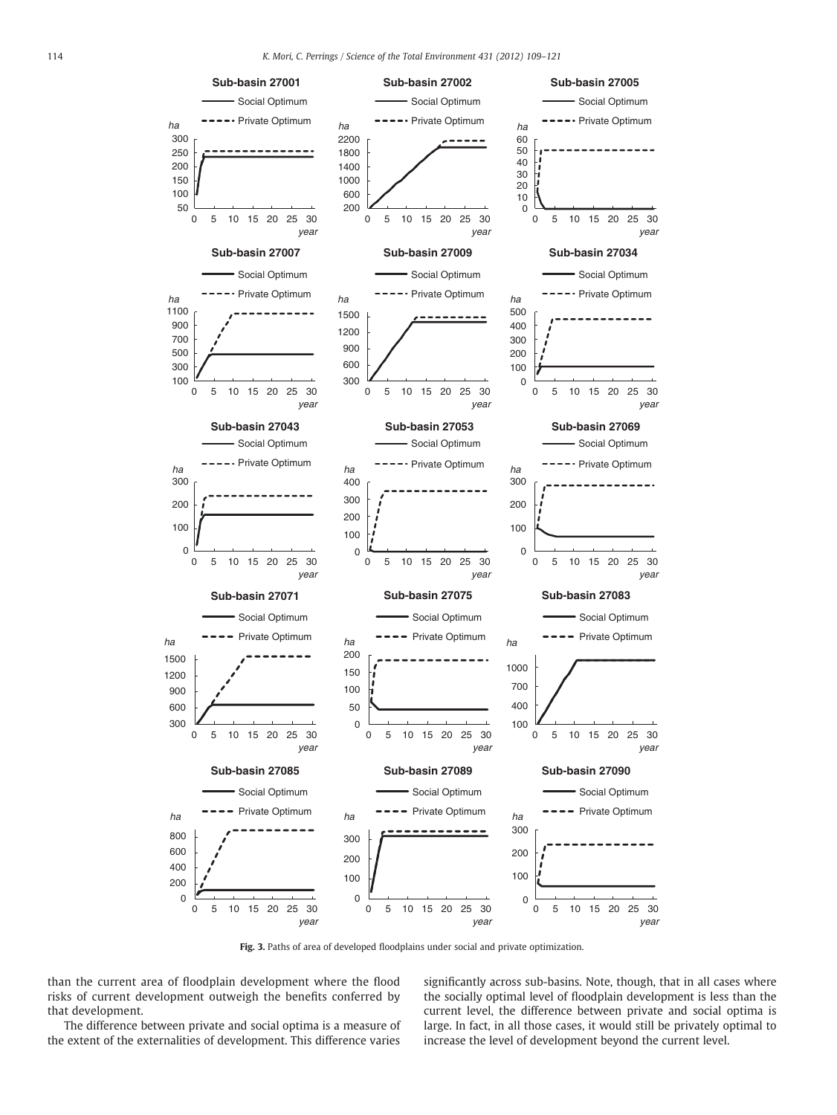

Fig. 3. Paths of area of developed floodplains under social and private optimization.

than the current area of floodplain development where the flood risks of current development outweigh the benefits conferred by that development.

<span id="page-5-0"></span>The difference between private and social optima is a measure of the extent of the externalities of development. This difference varies significantly across sub-basins. Note, though, that in all cases where the socially optimal level of floodplain development is less than the current level, the difference between private and social optima is large. In fact, in all those cases, it would still be privately optimal to increase the level of development beyond the current level.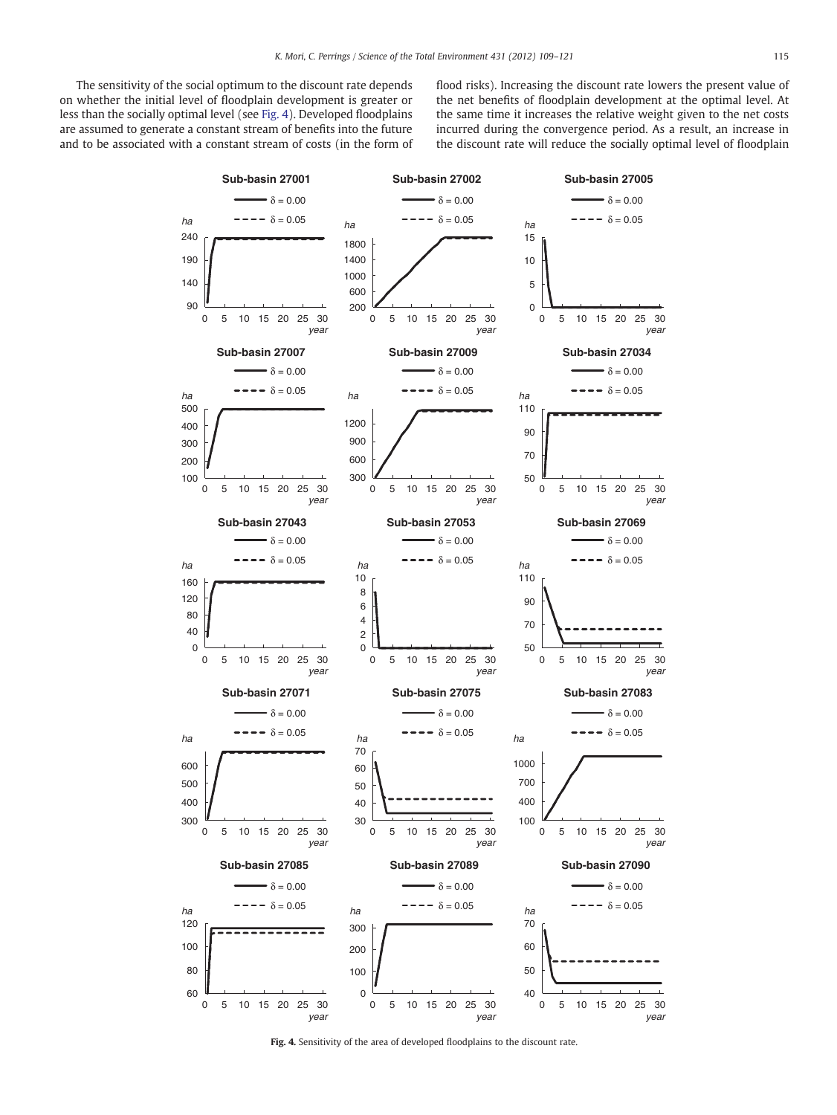The sensitivity of the social optimum to the discount rate depends on whether the initial level of floodplain development is greater or less than the socially optimal level (see [Fig. 4](#page-6-0)). Developed floodplains are assumed to generate a constant stream of benefits into the future and to be associated with a constant stream of costs (in the form of flood risks). Increasing the discount rate lowers the present value of the net benefits of floodplain development at the optimal level. At the same time it increases the relative weight given to the net costs incurred during the convergence period. As a result, an increase in the discount rate will reduce the socially optimal level of floodplain



<span id="page-6-0"></span>Fig. 4. Sensitivity of the area of developed floodplains to the discount rate.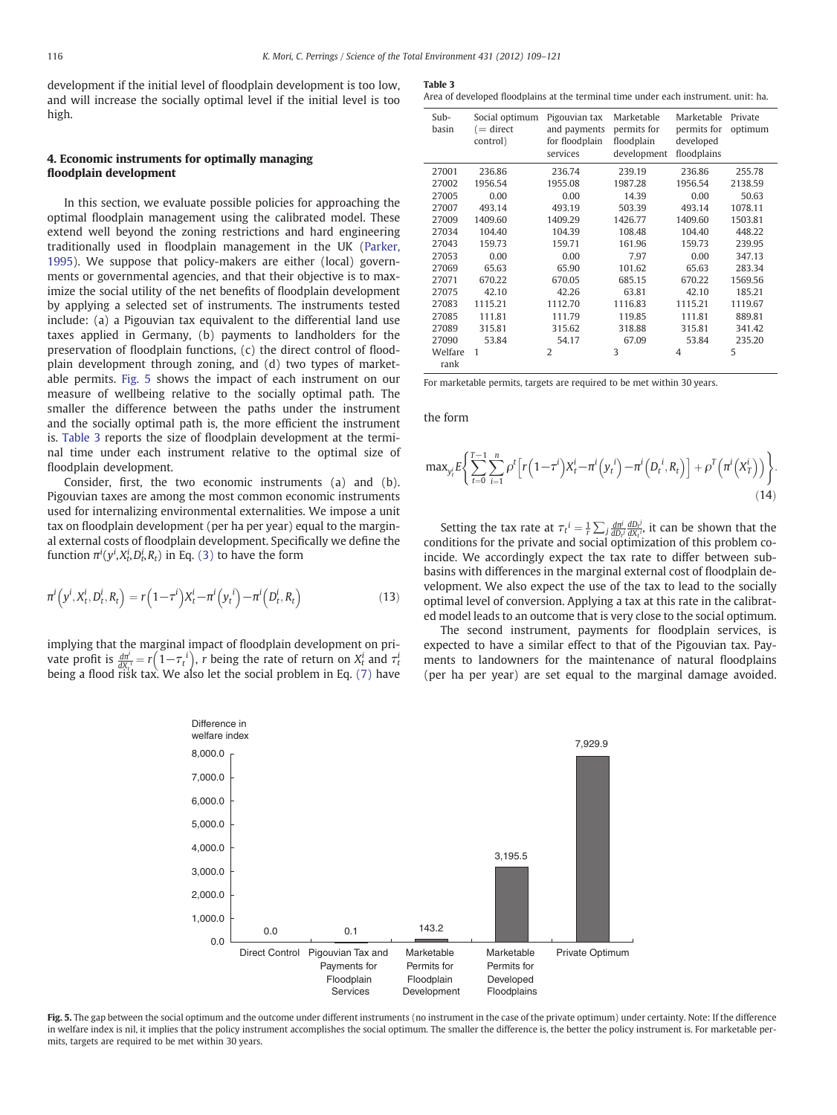Table 3

Subbasin Social optimum  $($  = direct

development if the initial level of floodplain development is too low, and will increase the socially optimal level if the initial level is too high.

# 4. Economic instruments for optimally managing floodplain development

In this section, we evaluate possible policies for approaching the optimal floodplain management using the calibrated model. These extend well beyond the zoning restrictions and hard engineering traditionally used in floodplain management in the UK [\(Parker,](#page-11-0) [1995\)](#page-11-0). We suppose that policy-makers are either (local) governments or governmental agencies, and that their objective is to maximize the social utility of the net benefits of floodplain development by applying a selected set of instruments. The instruments tested include: (a) a Pigouvian tax equivalent to the differential land use taxes applied in Germany, (b) payments to landholders for the preservation of floodplain functions, (c) the direct control of floodplain development through zoning, and (d) two types of marketable permits. [Fig. 5](#page-7-0) shows the impact of each instrument on our measure of wellbeing relative to the socially optimal path. The smaller the difference between the paths under the instrument and the socially optimal path is, the more efficient the instrument is. [Table 3](#page-7-0) reports the size of floodplain development at the terminal time under each instrument relative to the optimal size of floodplain development.

Consider, first, the two economic instruments (a) and (b). Pigouvian taxes are among the most common economic instruments used for internalizing environmental externalities. We impose a unit tax on floodplain development (per ha per year) equal to the marginal external costs of floodplain development. Specifically we define the function  $\pi^i(y^i, X_t^i, D_t^i, R_t)$  in Eq. [\(3\)](#page-1-0) to have the form

$$
\pi^{i}(y^{i}, X_{t}^{i}, D_{t}^{i}, R_{t}) = r(1 - \tau^{i})X_{t}^{i} - \pi^{i}(y_{t}^{i}) - \pi^{i}(D_{t}^{i}, R_{t})
$$
\n(13)

implying that the marginal impact of floodplain development on private profit is  $\frac{d\pi^i}{dx_i} = r\left(1 - \tau_t^i\right)$ , r being the rate of return on  $X_t^i$  and  $\tau_t^i$ being a flood risk tax. We also let the social problem in Eq.  $(7)$  have

|         | control) | for floodplain<br>services | floodplain<br>development | developed<br>floodplains |         |
|---------|----------|----------------------------|---------------------------|--------------------------|---------|
| 27001   | 236.86   | 236.74                     | 239.19                    | 236.86                   | 255.78  |
| 27002   | 1956.54  | 1955.08                    | 1987.28                   | 1956.54                  | 2138.59 |
| 27005   | 0.00     | 0.00                       | 14.39                     | 0.00                     | 50.63   |
| 27007   | 493.14   | 493.19                     | 503.39                    | 493.14                   | 1078.11 |
| 27009   | 1409.60  | 1409.29                    | 1426.77                   | 1409.60                  | 1503.81 |
| 27034   | 104.40   | 104.39                     | 108.48                    | 104.40                   | 448.22  |
| 27043   | 159.73   | 159.71                     | 161.96                    | 159.73                   | 239.95  |
| 27053   | 0.00     | 0.00                       | 7.97                      | 0.00                     | 347.13  |
| 27069   | 65.63    | 65.90                      | 101.62                    | 65.63                    | 283.34  |
| 27071   | 670.22   | 670.05                     | 685.15                    | 670.22                   | 1569.56 |
| 27075   | 42.10    | 42.26                      | 63.81                     | 42.10                    | 185.21  |
| 27083   | 1115.21  | 1112.70                    | 1116.83                   | 1115.21                  | 1119.67 |
| 27085   | 111.81   | 111.79                     | 119.85                    | 111.81                   | 889.81  |
| 27089   | 315.81   | 315.62                     | 318.88                    | 315.81                   | 341.42  |
| 27090   | 53.84    | 54.17                      | 67.09                     | 53.84                    | 235.20  |
| Welfare | 1        | 2                          | 3                         | 4                        | 5       |
| rank    |          |                            |                           |                          |         |

Area of developed floodplains at the terminal time under each instrument. unit: ha.

and payments permits for

Marketable

Marketable permits for optimum

Private

Pigouvian tax

For marketable permits, targets are required to be met within 30 years.

the form

$$
\max_{y_t^i} E\bigg\{\sum_{t=0}^{T-1} \sum_{i=1}^n \rho^t \Big[ r\Big(1-\tau^i\Big) X_t^i - \pi^i\Big(y_t^i\Big) - \pi^i\Big(D_t^i, R_t\Big) \Big] + \rho^T\Big(\pi^i\Big(X_T^i\Big)\Big) \bigg\}.\tag{14}
$$

Setting the tax rate at  $\tau_t^i = \frac{1}{r} \sum_j \frac{d\tau^j}{dD_t^j} \frac{dD_t^j}{dX_t^i}$ , it can be shown that the conditions for the private and social optimization of this problem coincide. We accordingly expect the tax rate to differ between subbasins with differences in the marginal external cost of floodplain development. We also expect the use of the tax to lead to the socially optimal level of conversion. Applying a tax at this rate in the calibrated model leads to an outcome that is very close to the social optimum.

The second instrument, payments for floodplain services, is expected to have a similar effect to that of the Pigouvian tax. Payments to landowners for the maintenance of natural floodplains (per ha per year) are set equal to the marginal damage avoided.



<span id="page-7-0"></span>Fig. 5. The gap between the social optimum and the outcome under different instruments (no instrument in the case of the private optimum) under certainty. Note: If the difference in welfare index is nil, it implies that the policy instrument accomplishes the social optimum. The smaller the difference is, the better the policy instrument is. For marketable permits, targets are required to be met within 30 years.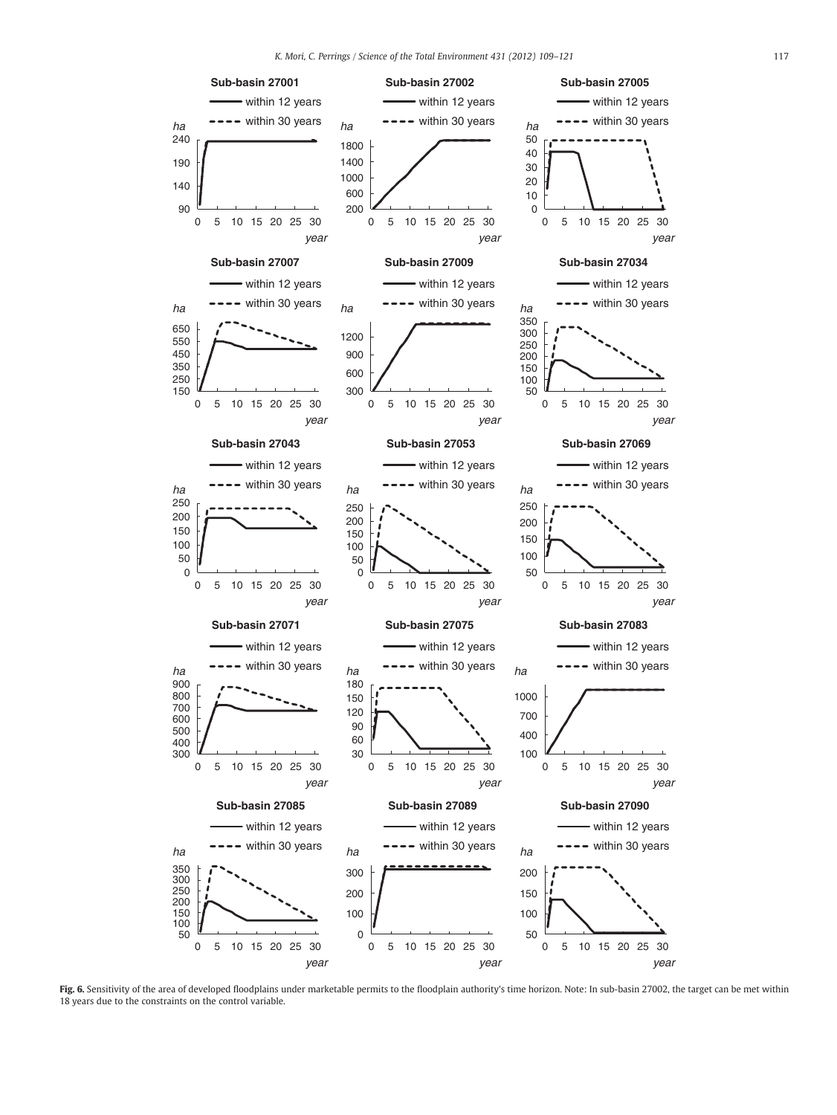

<span id="page-8-0"></span>Fig. 6. Sensitivity of the area of developed floodplains under marketable permits to the floodplain authority's time horizon. Note: In sub-basin 27002, the target can be met within 18 years due to the constraints on the control variable.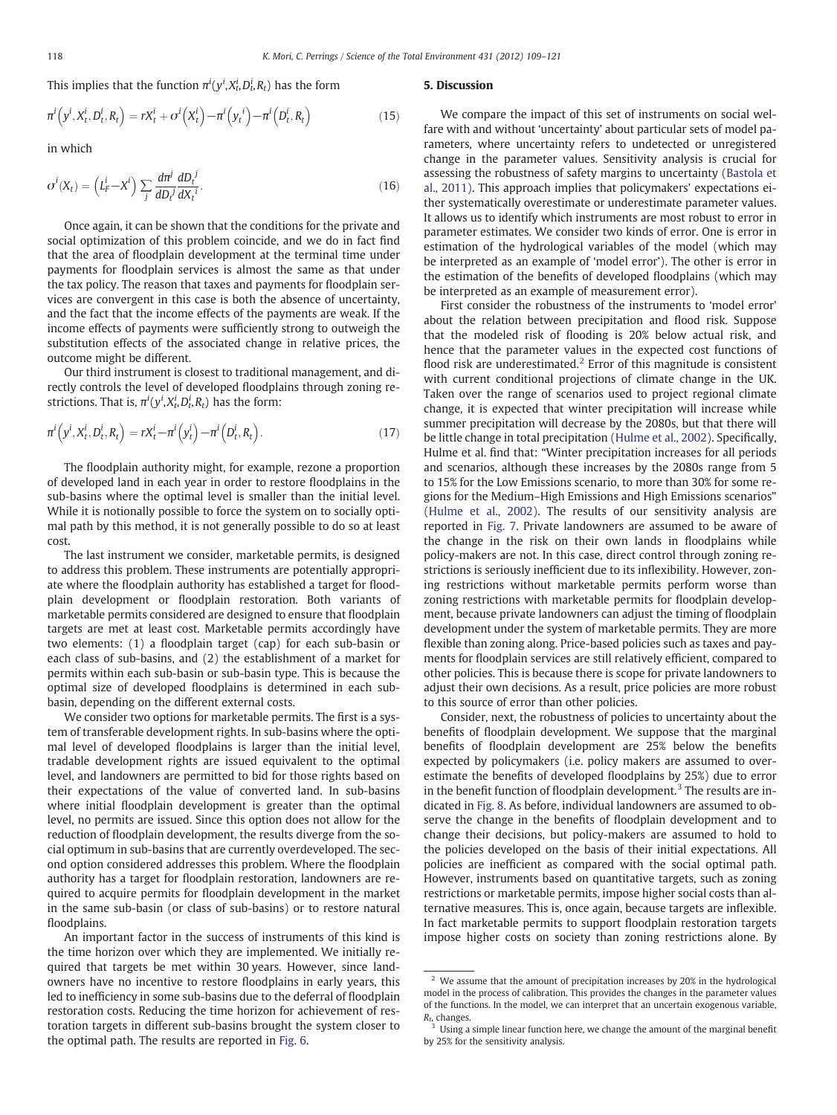This implies that the function  $\pi^i(y^i, X_t^i, D_t^i, R_t)$  has the form

$$
\pi^{i}(y^{i}, X_{t}^{i}, D_{t}^{i}, R_{t}) = rX_{t}^{i} + \sigma^{i}(X_{t}^{i}) - \pi^{i}(y_{t}^{i}) - \pi^{i}(D_{t}^{i}, R_{t})
$$
\n(15)

in which

$$
\sigma^{i}(X_{t}) = \left(L_{F}^{i} - X^{i}\right) \sum_{j} \frac{d\pi^{j}}{dD_{t}^{j}} \frac{dD_{t}^{j}}{dX_{t}^{i}}.
$$
\n(16)

Once again, it can be shown that the conditions for the private and social optimization of this problem coincide, and we do in fact find that the area of floodplain development at the terminal time under payments for floodplain services is almost the same as that under the tax policy. The reason that taxes and payments for floodplain services are convergent in this case is both the absence of uncertainty, and the fact that the income effects of the payments are weak. If the income effects of payments were sufficiently strong to outweigh the substitution effects of the associated change in relative prices, the outcome might be different.

Our third instrument is closest to traditional management, and directly controls the level of developed floodplains through zoning restrictions. That is,  $\pi^i(y^i, X_t^i, D_t^i, R_t)$  has the form:

$$
\pi^{i}(y^{i}, X_{t}^{i}, D_{t}^{i}, R_{t}) = rX_{t}^{i} - \pi^{i}(y_{t}^{i}) - \pi^{i}(D_{t}^{i}, R_{t}).
$$
\n(17)

The floodplain authority might, for example, rezone a proportion of developed land in each year in order to restore floodplains in the sub-basins where the optimal level is smaller than the initial level. While it is notionally possible to force the system on to socially optimal path by this method, it is not generally possible to do so at least cost.

The last instrument we consider, marketable permits, is designed to address this problem. These instruments are potentially appropriate where the floodplain authority has established a target for floodplain development or floodplain restoration. Both variants of marketable permits considered are designed to ensure that floodplain targets are met at least cost. Marketable permits accordingly have two elements: (1) a floodplain target (cap) for each sub-basin or each class of sub-basins, and (2) the establishment of a market for permits within each sub-basin or sub-basin type. This is because the optimal size of developed floodplains is determined in each subbasin, depending on the different external costs.

We consider two options for marketable permits. The first is a system of transferable development rights. In sub-basins where the optimal level of developed floodplains is larger than the initial level, tradable development rights are issued equivalent to the optimal level, and landowners are permitted to bid for those rights based on their expectations of the value of converted land. In sub-basins where initial floodplain development is greater than the optimal level, no permits are issued. Since this option does not allow for the reduction of floodplain development, the results diverge from the social optimum in sub-basins that are currently overdeveloped. The second option considered addresses this problem. Where the floodplain authority has a target for floodplain restoration, landowners are required to acquire permits for floodplain development in the market in the same sub-basin (or class of sub-basins) or to restore natural floodplains.

An important factor in the success of instruments of this kind is the time horizon over which they are implemented. We initially required that targets be met within 30 years. However, since landowners have no incentive to restore floodplains in early years, this led to inefficiency in some sub-basins due to the deferral of floodplain restoration costs. Reducing the time horizon for achievement of restoration targets in different sub-basins brought the system closer to the optimal path. The results are reported in [Fig. 6](#page-8-0).

# 5. Discussion

We compare the impact of this set of instruments on social welfare with and without 'uncertainty' about particular sets of model parameters, where uncertainty refers to undetected or unregistered change in the parameter values. Sensitivity analysis is crucial for assessing the robustness of safety margins to uncertainty [\(Bastola et](#page-11-0) [al., 2011\)](#page-11-0). This approach implies that policymakers' expectations either systematically overestimate or underestimate parameter values. It allows us to identify which instruments are most robust to error in parameter estimates. We consider two kinds of error. One is error in estimation of the hydrological variables of the model (which may be interpreted as an example of 'model error'). The other is error in the estimation of the benefits of developed floodplains (which may be interpreted as an example of measurement error).

First consider the robustness of the instruments to 'model error' about the relation between precipitation and flood risk. Suppose that the modeled risk of flooding is 20% below actual risk, and hence that the parameter values in the expected cost functions of flood risk are underestimated.<sup>2</sup> Error of this magnitude is consistent with current conditional projections of climate change in the UK. Taken over the range of scenarios used to project regional climate change, it is expected that winter precipitation will increase while summer precipitation will decrease by the 2080s, but that there will be little change in total precipitation [\(Hulme et al., 2002](#page-11-0)). Specifically, Hulme et al. find that: "Winter precipitation increases for all periods and scenarios, although these increases by the 2080s range from 5 to 15% for the Low Emissions scenario, to more than 30% for some regions for the Medium–High Emissions and High Emissions scenarios" [\(Hulme et al., 2002](#page-11-0)). The results of our sensitivity analysis are reported in [Fig. 7](#page-10-0). Private landowners are assumed to be aware of the change in the risk on their own lands in floodplains while policy-makers are not. In this case, direct control through zoning restrictions is seriously inefficient due to its inflexibility. However, zoning restrictions without marketable permits perform worse than zoning restrictions with marketable permits for floodplain development, because private landowners can adjust the timing of floodplain development under the system of marketable permits. They are more flexible than zoning along. Price-based policies such as taxes and payments for floodplain services are still relatively efficient, compared to other policies. This is because there is scope for private landowners to adjust their own decisions. As a result, price policies are more robust to this source of error than other policies.

Consider, next, the robustness of policies to uncertainty about the benefits of floodplain development. We suppose that the marginal benefits of floodplain development are 25% below the benefits expected by policymakers (i.e. policy makers are assumed to overestimate the benefits of developed floodplains by 25%) due to error in the benefit function of floodplain development.<sup>3</sup> The results are indicated in [Fig. 8.](#page-11-0) As before, individual landowners are assumed to observe the change in the benefits of floodplain development and to change their decisions, but policy-makers are assumed to hold to the policies developed on the basis of their initial expectations. All policies are inefficient as compared with the social optimal path. However, instruments based on quantitative targets, such as zoning restrictions or marketable permits, impose higher social costs than alternative measures. This is, once again, because targets are inflexible. In fact marketable permits to support floodplain restoration targets impose higher costs on society than zoning restrictions alone. By

<sup>&</sup>lt;sup>2</sup> We assume that the amount of precipitation increases by 20% in the hydrological model in the process of calibration. This provides the changes in the parameter values of the functions. In the model, we can interpret that an uncertain exogenous variable,  $R_t$ , changes.

<sup>&</sup>lt;sup>3</sup> Using a simple linear function here, we change the amount of the marginal benefit by 25% for the sensitivity analysis.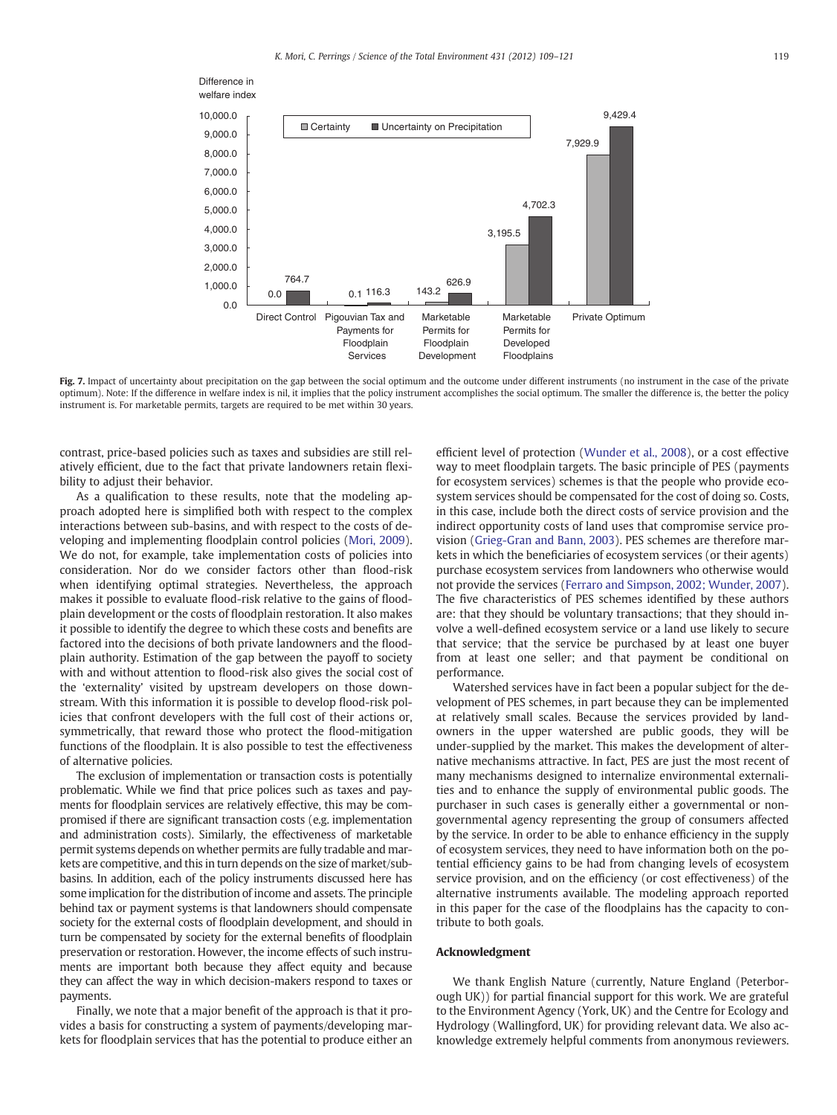

Fig. 7. Impact of uncertainty about precipitation on the gap between the social optimum and the outcome under different instruments (no instrument in the case of the private optimum). Note: If the difference in welfare index is nil, it implies that the policy instrument accomplishes the social optimum. The smaller the difference is, the better the policy instrument is. For marketable permits, targets are required to be met within 30 years.

contrast, price-based policies such as taxes and subsidies are still relatively efficient, due to the fact that private landowners retain flexibility to adjust their behavior.

As a qualification to these results, note that the modeling approach adopted here is simplified both with respect to the complex interactions between sub-basins, and with respect to the costs of developing and implementing floodplain control policies [\(Mori, 2009](#page-11-0)). We do not, for example, take implementation costs of policies into consideration. Nor do we consider factors other than flood-risk when identifying optimal strategies. Nevertheless, the approach makes it possible to evaluate flood-risk relative to the gains of floodplain development or the costs of floodplain restoration. It also makes it possible to identify the degree to which these costs and benefits are factored into the decisions of both private landowners and the floodplain authority. Estimation of the gap between the payoff to society with and without attention to flood-risk also gives the social cost of the 'externality' visited by upstream developers on those downstream. With this information it is possible to develop flood-risk policies that confront developers with the full cost of their actions or, symmetrically, that reward those who protect the flood-mitigation functions of the floodplain. It is also possible to test the effectiveness of alternative policies.

The exclusion of implementation or transaction costs is potentially problematic. While we find that price polices such as taxes and payments for floodplain services are relatively effective, this may be compromised if there are significant transaction costs (e.g. implementation and administration costs). Similarly, the effectiveness of marketable permit systems depends on whether permits are fully tradable and markets are competitive, and this in turn depends on the size of market/subbasins. In addition, each of the policy instruments discussed here has some implication for the distribution of income and assets. The principle behind tax or payment systems is that landowners should compensate society for the external costs of floodplain development, and should in turn be compensated by society for the external benefits of floodplain preservation or restoration. However, the income effects of such instruments are important both because they affect equity and because they can affect the way in which decision-makers respond to taxes or payments.

<span id="page-10-0"></span>Finally, we note that a major benefit of the approach is that it provides a basis for constructing a system of payments/developing markets for floodplain services that has the potential to produce either an efficient level of protection ([Wunder et al., 2008\)](#page-12-0), or a cost effective way to meet floodplain targets. The basic principle of PES (payments for ecosystem services) schemes is that the people who provide ecosystem services should be compensated for the cost of doing so. Costs, in this case, include both the direct costs of service provision and the indirect opportunity costs of land uses that compromise service provision [\(Grieg-Gran and Bann, 2003\)](#page-11-0). PES schemes are therefore markets in which the beneficiaries of ecosystem services (or their agents) purchase ecosystem services from landowners who otherwise would not provide the services ([Ferraro and Simpson, 2002; Wunder, 2007](#page-11-0)). The five characteristics of PES schemes identified by these authors are: that they should be voluntary transactions; that they should involve a well-defined ecosystem service or a land use likely to secure that service; that the service be purchased by at least one buyer from at least one seller; and that payment be conditional on performance.

Watershed services have in fact been a popular subject for the development of PES schemes, in part because they can be implemented at relatively small scales. Because the services provided by landowners in the upper watershed are public goods, they will be under-supplied by the market. This makes the development of alternative mechanisms attractive. In fact, PES are just the most recent of many mechanisms designed to internalize environmental externalities and to enhance the supply of environmental public goods. The purchaser in such cases is generally either a governmental or nongovernmental agency representing the group of consumers affected by the service. In order to be able to enhance efficiency in the supply of ecosystem services, they need to have information both on the potential efficiency gains to be had from changing levels of ecosystem service provision, and on the efficiency (or cost effectiveness) of the alternative instruments available. The modeling approach reported in this paper for the case of the floodplains has the capacity to contribute to both goals.

# Acknowledgment

We thank English Nature (currently, Nature England (Peterborough UK)) for partial financial support for this work. We are grateful to the Environment Agency (York, UK) and the Centre for Ecology and Hydrology (Wallingford, UK) for providing relevant data. We also acknowledge extremely helpful comments from anonymous reviewers.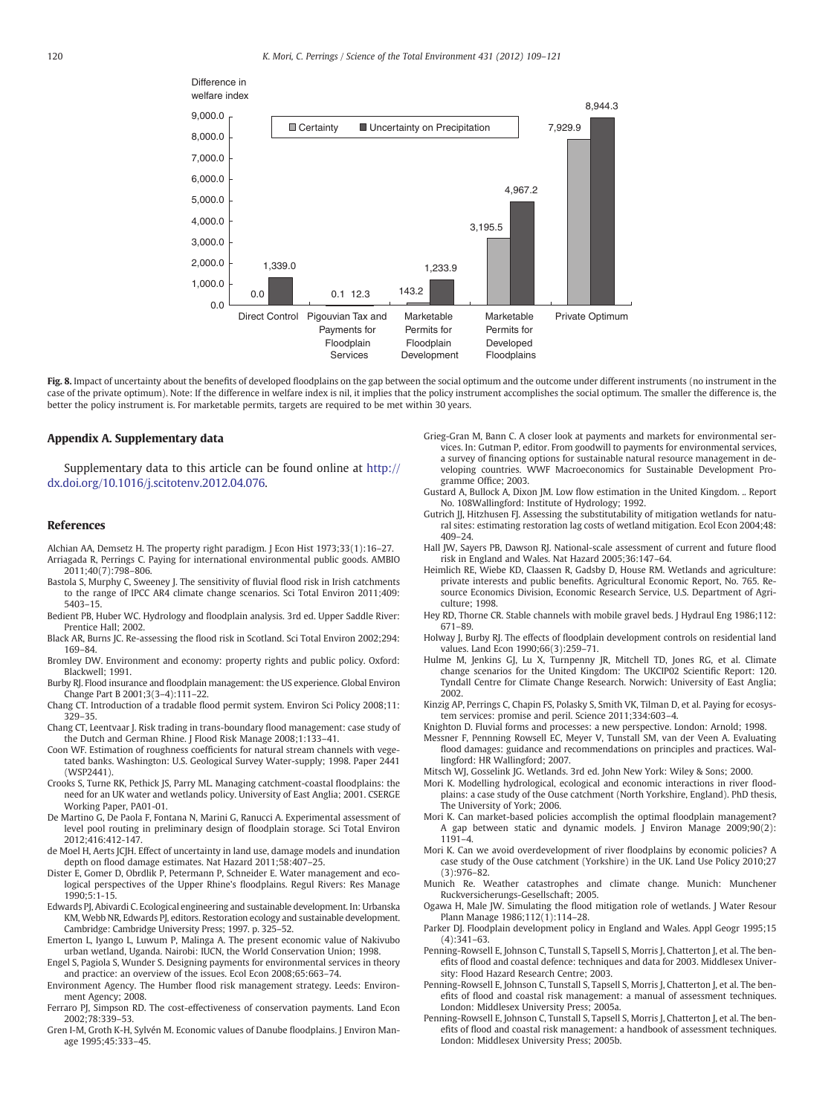

Fig. 8. Impact of uncertainty about the benefits of developed floodplains on the gap between the social optimum and the outcome under different instruments (no instrument in the case of the private optimum). Note: If the difference in welfare index is nil, it implies that the policy instrument accomplishes the social optimum. The smaller the difference is, the better the policy instrument is. For marketable permits, targets are required to be met within 30 years.

### Appendix A. Supplementary data

Supplementary data to this article can be found online at http:// dx.doi.org/10.1016/j.scitotenv.2012.04.076.

# References

- Alchian AA, Demsetz H. The property right paradigm. J Econ Hist 1973;33(1):16–27. Arriagada R, Perrings C. Paying for international environmental public goods. AMBIO
- 2011;40(7):798–806. Bastola S, Murphy C, Sweeney J. The sensitivity of fluvial flood risk in Irish catchments
- to the range of IPCC AR4 climate change scenarios. Sci Total Environ 2011;409: 5403–15. Bedient PB, Huber WC. Hydrology and floodplain analysis. 3rd ed. Upper Saddle River:
- Prentice Hall; 2002.
- Black AR, Burns JC. Re-assessing the flood risk in Scotland. Sci Total Environ 2002;294: 169–84.
- Bromley DW. Environment and economy: property rights and public policy. Oxford: Blackwell; 1991.
- Burby RJ. Flood insurance and floodplain management: the US experience. Global Environ Change Part B 2001;3(3–4):111–22.
- Chang CT. Introduction of a tradable flood permit system. Environ Sci Policy 2008;11: 329–35.
- Chang CT, Leentvaar J. Risk trading in trans-boundary flood management: case study of the Dutch and German Rhine. J Flood Risk Manage 2008;1:133–41.
- Coon WF. Estimation of roughness coefficients for natural stream channels with vegetated banks. Washington: U.S. Geological Survey Water-supply; 1998. Paper 2441 (WSP2441).
- Crooks S, Turne RK, Pethick JS, Parry ML. Managing catchment-coastal floodplains: the need for an UK water and wetlands policy. University of East Anglia; 2001. CSERGE Working Paper, PA01-01.
- De Martino G, De Paola F, Fontana N, Marini G, Ranucci A. Experimental assessment of level pool routing in preliminary design of floodplain storage. Sci Total Environ 2012;416:412-147.
- de Moel H, Aerts JCJH. Effect of uncertainty in land use, damage models and inundation depth on flood damage estimates. Nat Hazard 2011;58:407–25.
- Dister E, Gomer D, Obrdlik P, Petermann P, Schneider E. Water management and ecological perspectives of the Upper Rhine's floodplains. Regul Rivers: Res Manage 1990;5:1-15.
- Edwards PJ, Abivardi C. Ecological engineering and sustainable development. In: Urbanska KM, Webb NR, Edwards PJ, editors. Restoration ecology and sustainable development. Cambridge: Cambridge University Press; 1997. p. 325–52.
- Emerton L, Iyango L, Luwum P, Malinga A. The present economic value of Nakivubo urban wetland, Uganda. Nairobi: IUCN, the World Conservation Union; 1998.
- Engel S, Pagiola S, Wunder S. Designing payments for environmental services in theory and practice: an overview of the issues. Ecol Econ 2008;65:663–74.
- Environment Agency. The Humber flood risk management strategy. Leeds: Environment Agency; 2008.
- Ferraro PJ, Simpson RD. The cost-effectiveness of conservation payments. Land Econ 2002;78:339–53.
- <span id="page-11-0"></span>Gren I-M, Groth K-H, Sylvén M. Economic values of Danube floodplains. J Environ Manage 1995;45:333–45.
- Grieg-Gran M, Bann C. A closer look at payments and markets for environmental services. In: Gutman P, editor. From goodwill to payments for environmental services, a survey of financing options for sustainable natural resource management in developing countries. WWF Macroeconomics for Sustainable Development Programme Office; 2003.
- Gustard A, Bullock A, Dixon JM. Low flow estimation in the United Kingdom. .. Report No. 108Wallingford: Institute of Hydrology; 1992.
- Gutrich JJ, Hitzhusen FJ. Assessing the substitutability of mitigation wetlands for natural sites: estimating restoration lag costs of wetland mitigation. Ecol Econ 2004;48: 409–24.
- Hall JW, Sayers PB, Dawson RJ. National-scale assessment of current and future flood risk in England and Wales. Nat Hazard 2005;36:147–64.
- Heimlich RE, Wiebe KD, Claassen R, Gadsby D, House RM. Wetlands and agriculture: private interests and public benefits. Agricultural Economic Report, No. 765. Resource Economics Division, Economic Research Service, U.S. Department of Agriculture; 1998.
- Hey RD, Thorne CR. Stable channels with mobile gravel beds. J Hydraul Eng 1986;112: 671–89.
- Holway J, Burby RJ. The effects of floodplain development controls on residential land values. Land Econ 1990;66(3):259–71.
- Hulme M, Jenkins GJ, Lu X, Turnpenny JR, Mitchell TD, Jones RG, et al. Climate change scenarios for the United Kingdom: The UKCIP02 Scientific Report: 120. Tyndall Centre for Climate Change Research. Norwich: University of East Anglia; 2002.
- Kinzig AP, Perrings C, Chapin FS, Polasky S, Smith VK, Tilman D, et al. Paying for ecosystem services: promise and peril. Science 2011;334:603–4.
- Knighton D. Fluvial forms and processes: a new perspective. London: Arnold; 1998.
- Messner F, Pennning Rowsell EC, Meyer V, Tunstall SM, van der Veen A. Evaluating flood damages: guidance and recommendations on principles and practices. Wallingford: HR Wallingford; 2007.
- Mitsch WJ, Gosselink JG. Wetlands. 3rd ed. John New York: Wiley & Sons; 2000.
- Mori K. Modelling hydrological, ecological and economic interactions in river floodplains: a case study of the Ouse catchment (North Yorkshire, England). PhD thesis, The University of York; 2006.
- Mori K. Can market-based policies accomplish the optimal floodplain management? A gap between static and dynamic models.  $\int$  Environ Manage 2009;90(2): 1191–4.
- Mori K. Can we avoid overdevelopment of river floodplains by economic policies? A case study of the Ouse catchment (Yorkshire) in the UK. Land Use Policy 2010;27 (3):976–82.
- Munich Re. Weather catastrophes and climate change. Munich: Munchener Ruckversicherungs-Gesellschaft; 2005.
- Ogawa H, Male JW. Simulating the flood mitigation role of wetlands. J Water Resour Plann Manage 1986;112(1):114–28.
- Parker DJ. Floodplain development policy in England and Wales. Appl Geogr 1995;15 (4):341–63.
- Penning-Rowsell E, Johnson C, Tunstall S, Tapsell S, Morris J, Chatterton J, et al. The benefits of flood and coastal defence: techniques and data for 2003. Middlesex University: Flood Hazard Research Centre; 2003.
- Penning-Rowsell E, Johnson C, Tunstall S, Tapsell S, Morris J, Chatterton J, et al. The benefits of flood and coastal risk management: a manual of assessment techniques. London: Middlesex University Press; 2005a.
- Penning-Rowsell E, Johnson C, Tunstall S, Tapsell S, Morris J, Chatterton J, et al. The benefits of flood and coastal risk management: a handbook of assessment techniques. London: Middlesex University Press; 2005b.